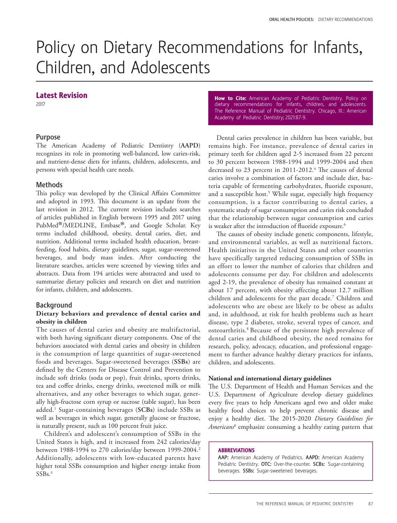# Policy on Dietary Recommendations for Infants, Children, and Adolescents

## Latest Revision

2017

# Purpose

The American Academy of Pediatric Dentistry (**AAPD**) recognizes its role in promoting well-balanced, low caries-risk, and nutrient-dense diets for infants, children, adolescents, and persons with special health care needs.

## **Methods**

This policy was developed by the Clinical Affairs Committee and adopted in 1993. This document is an update from the last revision in 2012. The current revision includes searches of articles published in English between 1995 and 2017 using PubMed®/MEDLINE, Embase®, and Google Scholar. Key terms included childhood, obesity, dental caries, diet, and nutrition. Additional terms included health education, breastfeeding, food habits, dietary guidelines, sugar, sugar-sweetened beverages, and body mass index. After conducting the literature searches, articles were screened by viewing titles and abstracts. Data from 194 articles were abstracted and used to summarize dietary policies and research on diet and nutrition for infants, children, and adolescents.

# Background

# **Dietary behaviors and prevalence of dental caries and obesity in children**

The causes of dental caries and obesity are multifactorial, with both having significant dietary components. One of the behaviors associated with dental caries and obesity in children is the consumption of large quantities of sugar-sweetened foods and beverages. Sugar-sweetened beverages (**SSBs**) are defined by the Centers for Disease Control and Prevention to include soft drinks (soda or pop), fruit drinks, sports drinks, tea and coffee drinks, energy drinks, sweetened milk or milk alternatives, and any other beverages to which sugar, generally high-fructose corn syrup or sucrose (table sugar), has been added.1 Sugar-containing beverages (**SCBs**) include SSBs as well as beverages in which sugar, generally glucose or fructose, is naturally present, such as 100 percent fruit juice.

Children's and adolescent's consumption of SSBs in the United States is high, and it increased from 242 calories/day between 1988-1994 to 270 calories/day between 1999-2004.<sup>2</sup> Additionally, adolescents with low-educated parents have higher total SSBs consumption and higher energy intake from SSB<sub>s.3</sub>

How to Cite: American Academy of Pediatric Dentistry. Policy on dietary recommendations for infants, children, and adolescents. The Reference Manual of Pediatric Dentistry. Chicago, Ill.: American Academy of Pediatric Dentistry; 2021:87-9.

Dental caries prevalence in children has been variable, but remains high. For instance, prevalence of dental caries in primary teeth for children aged 2-5 increased from 22 percent to 30 percent between 1988-1994 and 1999-2004 and then decreased to 23 percent in 2011-2012.<sup>4</sup> The causes of dental caries involve a combination of factors and include diet, bacteria capable of fermenting carbohydrates, fluoride exposure, and a susceptible host.<sup>5</sup> While sugar, especially high frequency consumption, is a factor contributing to dental caries, a systematic study of sugar consumption and caries risk concluded that the relationship between sugar consumption and caries is weaker after the introduction of fluoride exposure.<sup>6</sup>

The causes of obesity include genetic components, lifestyle, and environmental variables, as well as nutritional factors. Health initiatives in the United States and other countries have specifically targeted reducing consumption of SSBs in an effort to lower the number of calories that children and adolescents consume per day. For children and adolescents aged 2-19, the prevalence of obesity has remained constant at about 17 percent, with obesity affecting about 12.7 million children and adolescents for the past decade.7 Children and adolescents who are obese are likely to be obese as adults and, in adulthood, at risk for health problems such as heart disease, type 2 diabetes, stroke, several types of cancer, and osteoarthritis.8 Because of the persistent high prevalence of dental caries and childhood obesity, the need remains for research, policy, advocacy, education, and professional engagement to further advance healthy dietary practices for infants, children, and adolescents.

#### **National and international dietary guidelines**

The U.S. Department of Health and Human Services and the U.S. Department of Agriculture develop dietary guidelines every five years to help Americans aged two and older make healthy food choices to help prevent chronic disease and enjoy a healthy diet. The 2015-2020 *Dietary Guidelines for Americans*<sup>8</sup> emphasize consuming a healthy eating pattern that

#### ABBREVIATIONS

AAP: American Academy of Pediatrics. AAPD: American Academy Pediatric Dentistry. OTC: Over-the-counter. SCBs: Sugar-containing beverages. SSBs: Sugar-sweetened beverages.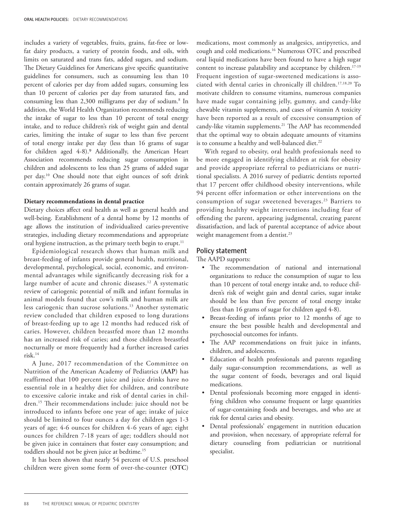includes a variety of vegetables, fruits, grains, fat-free or lowfat dairy products, a variety of protein foods, and oils, with limits on saturated and trans fats, added sugars, and sodium. The Dietary Guidelines for Americans give specific quantitative guidelines for consumers, such as consuming less than 10 percent of calories per day from added sugars, consuming less than 10 percent of calories per day from saturated fats, and consuming less than 2,300 milligrams per day of sodium.<sup>8</sup> In addition, the World Health Organization recommends reducing the intake of sugar to less than 10 percent of total energy intake, and to reduce children's risk of weight gain and dental caries, limiting the intake of sugar to less than five percent of total energy intake per day (less than 16 grams of sugar for children aged 4-8).9 Additionally, the American Heart Association recommends reducing sugar consumption in children and adolescents to less than 25 grams of added sugar per day.10 One should note that eight ounces of soft drink contain approximately 26 grams of sugar.

#### **Dietary recommendations in dental practice**

Dietary choices affect oral health as well as general health and well-being. Establishment of a dental home by 12 months of age allows the institution of individualized caries-preventive strategies, including dietary recommendations and appropriate oral hygiene instruction, as the primary teeth begin to erupt.<sup>11</sup>

Epidemiological research shows that human milk and breast-feeding of infants provide general health, nutritional, developmental, psychological, social, economic, and environmental advantages while significantly decreasing risk for a large number of acute and chronic diseases.<sup>12</sup> A systematic review of cariogenic potential of milk and infant formulas in animal models found that cow's milk and human milk are less cariogenic than sucrose solutions.13 Another systematic review concluded that children exposed to long durations of breast-feeding up to age 12 months had reduced risk of caries. However, children breastfed more than 12 months has an increased risk of caries; and those children breastfed nocturnally or more frequently had a further increased caries risk.14

A June, 2017 recommendation of the Committee on Nutrition of the American Academy of Pediatrics (**AAP**) has reaffirmed that 100 percent juice and juice drinks have no essential role in a healthy diet for children, and contribute to excessive calorie intake and risk of dental caries in children.15 Their recommendations include: juice should not be introduced to infants before one year of age; intake of juice should be limited to four ounces a day for children ages 1-3 years of age; 4-6 ounces for children 4-6 years of age; eight ounces for children 7-18 years of age; toddlers should not be given juice in containers that foster easy consumption; and toddlers should not be given juice at bedtime.15

It has been shown that nearly 54 percent of U.S. preschool children were given some form of over-the-counter (**OTC**)

medications, most commonly as analgesics, antipyretics, and cough and cold medications.16 Numerous OTC and prescribed oral liquid medications have been found to have a high sugar content to increase palatability and acceptance by children.<sup>17-19</sup> Frequent ingestion of sugar-sweetened medications is associated with dental caries in chronically ill children.17,18,20 To motivate children to consume vitamins, numerous companies have made sugar containing jelly, gummy, and candy-like chewable vitamin supplements, and cases of vitamin A toxicity have been reported as a result of excessive consumption of candy-like vitamin supplements.<sup>21</sup> The AAP has recommended that the optimal way to obtain adequate amounts of vitamins is to consume a healthy and well-balanced diet.<sup>22</sup>

With regard to obesity, oral health professionals need to be more engaged in identifying children at risk for obesity and provide appropriate referral to pediatricians or nutritional specialists. A 2016 survey of pediatric dentists reported that 17 percent offer childhood obesity interventions, while 94 percent offer information or other interventions on the consumption of sugar sweetened beverages.23 Barriers to providing healthy weight interventions including fear of offending the parent, appearing judgmental, creating parent dissatisfaction, and lack of parental acceptance of advice about weight management from a dentist.<sup>23</sup>

#### Policy statement

The AAPD supports:

- The recommendation of national and international organizations to reduce the consumption of sugar to less than 10 percent of total energy intake and, to reduce children's risk of weight gain and dental caries, sugar intake should be less than five percent of total energy intake (less than 16 grams of sugar for children aged 4-8).
- Breast-feeding of infants prior to 12 months of age to ensure the best possible health and developmental and psychosocial outcomes for infants.
- The AAP recommendations on fruit juice in infants, children, and adolescents.
- Education of health professionals and parents regarding daily sugar-consumption recommendations, as well as the sugar content of foods, beverages and oral liquid medications.
- Dental professionals becoming more engaged in identifying children who consume frequent or large quantities of sugar-containing foods and beverages, and who are at risk for dental caries and obesity.
- Dental professionals' engagement in nutrition education and provision, when necessary, of appropriate referral for dietary counseling from pediatrician or nutritional specialist.